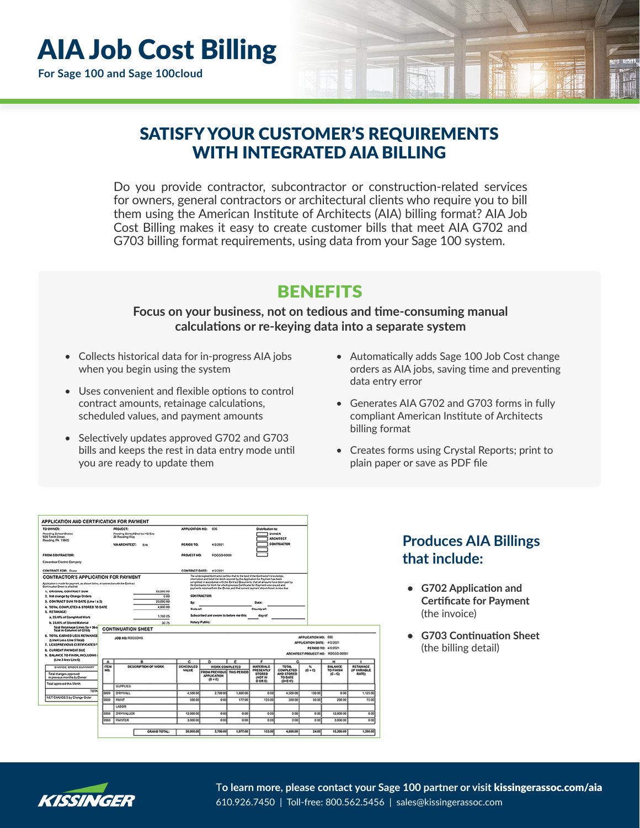# SATISFY YOUR CUSTOMER'S REQUIREMENTS WITH INTEGRATED AIA BILLING

Do you provide contractor, subcontractor or construction-related services for owners, general contractors or architectural clients who require you to bill them using the American Institute of Architects (AIA) billing format? AIA Job Cost Billing makes it easy to create customer bills that meet AIA G702 and G703 billing format requirements, using data from your Sage 100 system.

## **BENEFITS**

### **Focus on your business, not on tedious and time-consuming manual calculations or re-keying data into a separate system**

- Collects historical data for in-progress AIA jobs when you begin using the system
- Uses convenient and flexible options to control contract amounts, retainage calculations, scheduled values, and payment amounts
- Selectively updates approved G702 and G703 bills and keeps the rest in data entry mode until you are ready to update them
- Automatically adds Sage 100 Job Cost change orders as AIA jobs, saving time and preventing data entry error
- Generates AIA G702 and G703 forms in fully compliant American Institute of Architects billing format
- Creates forms using Crystal Reports; print to plain paper or save as PDF file

| Reading School Distict<br>920 Tenth Street<br>Reading PA 19605<br><b>FROM CONTRACTOR:</b>                           |                    |                                                              |                     |              |                                                                                                                                                                                                                                                                       | APPLICATION NO:<br>cos                                                                                                                                                     |            |                                  |                                        |                            |                                   |                          |
|---------------------------------------------------------------------------------------------------------------------|--------------------|--------------------------------------------------------------|---------------------|--------------|-----------------------------------------------------------------------------------------------------------------------------------------------------------------------------------------------------------------------------------------------------------------------|----------------------------------------------------------------------------------------------------------------------------------------------------------------------------|------------|----------------------------------|----------------------------------------|----------------------------|-----------------------------------|--------------------------|
|                                                                                                                     |                    | PROJECT:<br>Reading School District HS Exp<br>22 Reading Way |                     |              |                                                                                                                                                                                                                                                                       |                                                                                                                                                                            |            |                                  | <b>OWNER</b><br><b>ARCHITECT</b>       |                            |                                   |                          |
|                                                                                                                     |                    | <b>VIA ARCHITECT:</b>                                        | <b>Erk</b>          |              | PERIOD TO:                                                                                                                                                                                                                                                            | 4/2/2021                                                                                                                                                                   |            |                                  | CONTRACTOR                             |                            |                                   |                          |
|                                                                                                                     |                    |                                                              |                     |              | PROJECT NO:                                                                                                                                                                                                                                                           | RDGSD-00001                                                                                                                                                                |            |                                  |                                        |                            |                                   |                          |
| <b>Edwardson Electric Company</b>                                                                                   |                    |                                                              |                     |              |                                                                                                                                                                                                                                                                       |                                                                                                                                                                            |            |                                  |                                        |                            |                                   |                          |
| CONTRACT FOR: Diano                                                                                                 |                    |                                                              |                     |              | CONTRACT OATE:                                                                                                                                                                                                                                                        | 4/20021                                                                                                                                                                    |            |                                  |                                        |                            |                                   |                          |
| <b>CONTRACTOR'S APPLICATION FOR PAYMENT</b>                                                                         |                    |                                                              |                     |              |                                                                                                                                                                                                                                                                       | The undersigned Contractor certifies that to the best of the Contractor's Innoviation.<br>information and belief the Work covered by this Application for Payment has been |            |                                  |                                        |                            |                                   |                          |
| Application is made for payment, as shown below, in connection with the Contract<br>Continuation Dreet is attached. |                    |                                                              |                     |              | completed in accordance with the Contract Documents, that all amounts have been paid by<br>the Contractor for Work for which previous Certificates for Paument were issued and<br>payments received from the Ounce, and that current payment shown herein is now due. |                                                                                                                                                                            |            |                                  |                                        |                            |                                   |                          |
| 1. ORIGINAL CONTRACT SUM                                                                                            |                    |                                                              |                     | 20,000.00    |                                                                                                                                                                                                                                                                       |                                                                                                                                                                            |            |                                  |                                        |                            |                                   |                          |
| 2. Net change by Change Orders<br>0.00                                                                              |                    |                                                              |                     |              |                                                                                                                                                                                                                                                                       | <b>CONTRACTOR:</b>                                                                                                                                                         |            |                                  |                                        |                            |                                   |                          |
| 20,000.00<br>3. CONTRACT SUM TO DATE (Line 1 ± 2)                                                                   |                    |                                                              |                     | Đy.          |                                                                                                                                                                                                                                                                       |                                                                                                                                                                            | Oate:      |                                  |                                        |                            |                                   |                          |
| 4,800.00<br>4. TOTAL COMPLETED & STORED TO DATE                                                                     |                    |                                                              |                     | State of:    |                                                                                                                                                                                                                                                                       |                                                                                                                                                                            | County et: |                                  |                                        |                            |                                   |                          |
| 5. RETAINAGE:                                                                                                       |                    |                                                              |                     | 1.169.25     |                                                                                                                                                                                                                                                                       | Subscribed and sworn to before me this                                                                                                                                     |            | day of                           |                                        |                            |                                   |                          |
| a. 25.00% of Completed Work.                                                                                        |                    |                                                              |                     |              |                                                                                                                                                                                                                                                                       |                                                                                                                                                                            |            |                                  |                                        |                            |                                   |                          |
| b. 25,00% of Stored Material                                                                                        |                    |                                                              |                     | 30.75        | Notary Public:                                                                                                                                                                                                                                                        |                                                                                                                                                                            |            |                                  |                                        |                            |                                   |                          |
| Total Retainage (Lines 5a + 5b o<br>Total in Column I of G703)                                                      |                    | <b>CONTINUATION SHEET</b>                                    |                     |              |                                                                                                                                                                                                                                                                       |                                                                                                                                                                            |            |                                  |                                        |                            |                                   |                          |
| 6. TOTAL EARNED LESS RETAINAGE                                                                                      | JOB NO: ROGSONS    |                                                              |                     |              |                                                                                                                                                                                                                                                                       |                                                                                                                                                                            |            |                                  | APPLICATION NO: 000                    |                            |                                   |                          |
| (Line 4 Less Line 5 Total)                                                                                          |                    |                                                              |                     |              |                                                                                                                                                                                                                                                                       |                                                                                                                                                                            |            |                                  |                                        | APPLICATION DATE: 4/2/2021 |                                   |                          |
| 7. LESS PREVIOUS CERTIFICATES FI                                                                                    |                    |                                                              |                     |              |                                                                                                                                                                                                                                                                       |                                                                                                                                                                            |            |                                  |                                        |                            | PERIOD TO: 4/3/2021               |                          |
| <b>8. CURRENT PAYMENT OUE</b>                                                                                       |                    |                                                              |                     |              |                                                                                                                                                                                                                                                                       |                                                                                                                                                                            |            |                                  |                                        |                            | ARCHITECT PROJECT NO: RDG5D-00001 |                          |
| 9. BALANCE TO FINISH, INCLUDING I                                                                                   |                    |                                                              |                     |              |                                                                                                                                                                                                                                                                       |                                                                                                                                                                            |            |                                  |                                        |                            |                                   |                          |
| (Line 3 less Line 6)                                                                                                | $\mathbf{A}$       |                                                              | a                   |              | c                                                                                                                                                                                                                                                                     | $\circ$                                                                                                                                                                    | e          | e                                | a                                      |                            | $\mathbf{H}$                      | ٠                        |
| CHANGE ORDER SUMMARY                                                                                                | <b>ITEM</b><br>NO. |                                                              | DESCRIPTION OF WORK |              | SCHEDULED<br><b>VALUE</b>                                                                                                                                                                                                                                             | WORK COMPLETED                                                                                                                                                             |            | MATERIALS<br>PRESENTLY           | <b>TOTAL</b><br>COMPLETED              | ×.<br>$(0 + 0)$            | <b>BALANCE</b><br>TO FINISH       | RETAINAGE<br>OF VARIABLE |
| Total changes approved<br>in crevious months by Owner                                                               |                    |                                                              |                     |              |                                                                                                                                                                                                                                                                       | FROM PREVIOUS THIS PERIOD<br><b>APPLICATION</b><br>$(D + F)$                                                                                                               |            | <b>STORED</b><br>OUOT IN<br>OORD | AND STORED<br>TO DATE<br>$(0 - E - F)$ |                            | (2.3)                             | <b>RATE)</b>             |
| Total approved this Month                                                                                           |                    | <b>SUPPLIES</b>                                              |                     |              |                                                                                                                                                                                                                                                                       |                                                                                                                                                                            |            |                                  |                                        |                            |                                   |                          |
| TOTAL                                                                                                               | 0000               | <b>DRYWALL</b>                                               |                     |              | 4.500.00                                                                                                                                                                                                                                                              | 2,700.00                                                                                                                                                                   | 1.800.00   | 0 <sub>c</sub>                   | 4 500.00                               | 100.00                     | 0.00                              | 1.125.00                 |
| <b>MET CHANGES by Change Order</b>                                                                                  | 0000               | <b>PAINT</b>                                                 |                     |              | 500.00                                                                                                                                                                                                                                                                | $\circ \circ$                                                                                                                                                              | 177.00     | 123.00                           | 300.00                                 | 00:00                      | 200.00                            | 75.00                    |
|                                                                                                                     |                    | LASOR                                                        |                     |              |                                                                                                                                                                                                                                                                       |                                                                                                                                                                            |            |                                  |                                        |                            |                                   |                          |
|                                                                                                                     | 0050               | ORWALLER                                                     |                     |              | 12 000 00                                                                                                                                                                                                                                                             | 000                                                                                                                                                                        | 0.00       | 0 <sub>c</sub>                   | 0 <sup>0</sup>                         | 0 <sup>0</sup>             | 12 000 00                         |                          |
|                                                                                                                     |                    |                                                              |                     |              |                                                                                                                                                                                                                                                                       |                                                                                                                                                                            |            |                                  |                                        |                            |                                   | 0.00                     |
|                                                                                                                     | 0060               | <b>PAINTER</b>                                               |                     |              | 3,000.00                                                                                                                                                                                                                                                              | $\circ \circ$                                                                                                                                                              | 000        | 0 <sub>co</sub>                  | 0.00                                   | 000                        | 3,000.00                          | 0.00                     |
|                                                                                                                     |                    |                                                              |                     | GRAND TOTAL: | 20,000.00                                                                                                                                                                                                                                                             | 2,700.00                                                                                                                                                                   | 1,977.00   | 123.00                           | 4.800.00                               | 24.00                      | 15,200.00                         | 1,200.00                 |

## **Produces AIA Billings that include:**

- **• G702 Application and Certificate for Payment** (the invoice)
- **• G703 Continuation Sheet** (the billing detail)